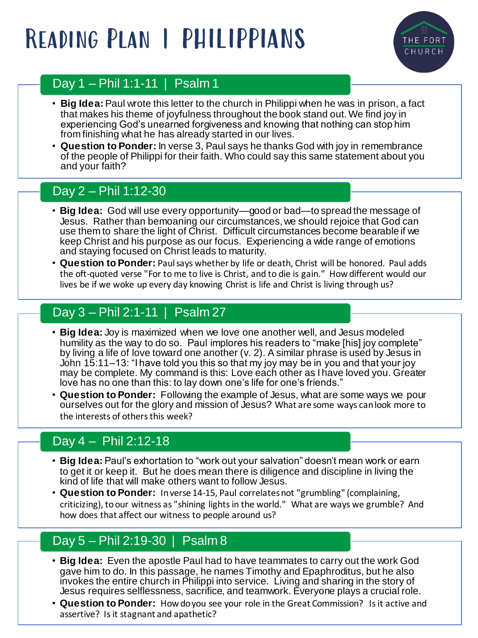# Reading Plan | PHILIPPIANS



### Day 1 – Phil 1:1-11 | Psalm 1

- **Big Idea:** Paul wrote this letter to the church in Philippi when he was in prison, a fact that makes his theme of joyfulness throughout the book stand out. We find joy in experiencing God's unearned forgiveness and knowing that nothing can stop him from finishing what he has already started in our lives.
- **Question to Ponder:** In verse 3, Paul says he thanks God with joy in remembrance of the people of Philippi for their faith. Who could say this same statement about you and your faith?

### Day 2 – Phil 1:12-30

- **Big Idea:** God will use every opportunity—good or bad—to spread the message of Jesus. Rather than bemoaning our circumstances, we should rejoice that God can use them to share the light of Christ. Difficult circumstances become bearable if we keep Christ and his purpose as our focus. Experiencing a wide range of emotions and staying focused on Christ leads to maturity.
- **Question to Ponder:** Paul says whether by life or death, Christ will be honored. Paul adds the oft-quoted verse "For to me to live is Christ, and to die is gain." How different would our lives be if we woke up every day knowing Christ is life and Christ is living through us?

## Day 3 – Phil 2:1-11 | Psalm 27

- **Big Idea:** Joy is maximized when we love one another well, and Jesus modeled humility as the way to do so. Paul implores his readers to "make [his] joy complete" by living a life of love toward one another (v. 2). A similar phrase is used by Jesus in John 15:11–13: "I have told you this so that my joy may be in you and that your joy may be complete. My command is this: Love each other as I have loved you. Greater love has no one than this: to lay down one's life for one's friends."
- **Question to Ponder:** Following the example of Jesus, what are some ways we pour ourselves out for the glory and mission of Jesus? What are some ways can look more to the interests of others this week?

### Day  $4 -$  Phil 2:12-18

- **Big Idea:** Paul's exhortation to "work out your salvation" doesn't mean work or earn to get it or keep it. But he does mean there is diligence and discipline in living the kind of life that will make others want to follow Jesus.
- **Question to Ponder:** In verse 14-15, Paul correlates not "grumbling" (complaining, criticizing), to our witness as "shining lights in the world." What are ways we grumble? And how does that affect our witness to people around us?

### Day 5 – Phil 2:19-30 | Psalm 8

- **Big Idea:** Even the apostle Paul had to have teammates to carry out the work God gave him to do. In this passage, he names Timothy and Epaphroditus, but he also invokes the entire church in Philippi into service. Living and sharing in the story of Jesus requires selflessness, sacrifice, and teamwork. Everyone plays a crucial role.
- **Question to Ponder:** How do you see your role in the Great Commission? Is it active and assertive? Is it stagnant and apathetic?